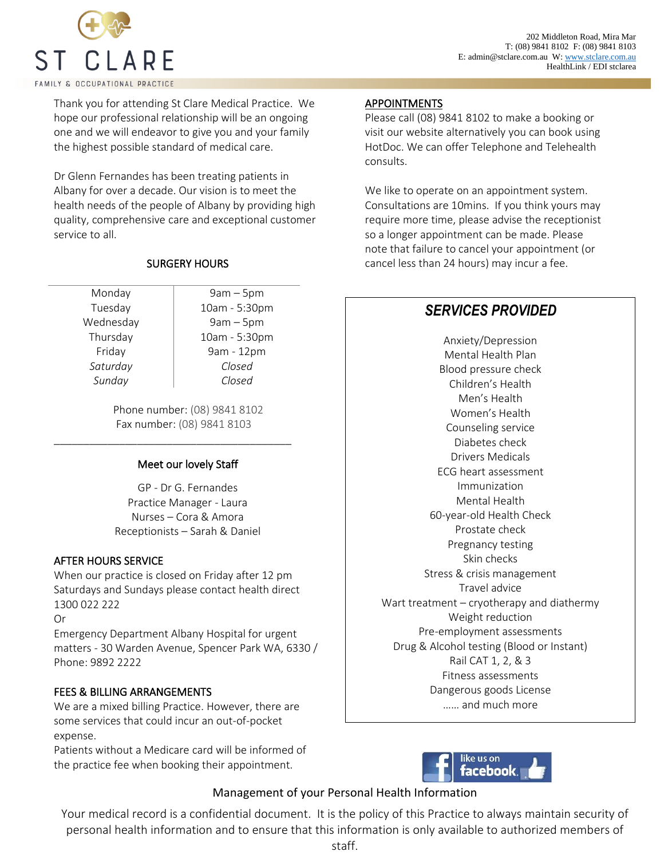

Thank you for attending St Clare Medical Practice. We hope our professional relationship will be an ongoing one and we will endeavor to give you and your family the highest possible standard of medical care.

Dr Glenn Fernandes has been treating patients in Albany for over a decade. Our vision is to meet the health needs of the people of Albany by providing high quality, comprehensive care and exceptional customer service to all.

### SURGERY HOURS

*Sunday Closed*

Monday 9am – 5pm Tuesday 10am - 5:30pm Wednesday | 9am – 5pm Thursday 10am - 5:30pm Friday | 9am - 12pm *Saturday Closed*

> Phone number: (08) 9841 8102 Fax number: (08) 9841 8103

\_\_\_\_\_\_\_\_\_\_\_\_\_\_\_\_\_\_\_\_\_\_\_\_\_\_\_\_\_\_\_\_\_\_\_\_\_\_\_\_

## Meet our lovely Staff

GP - Dr G. Fernandes Practice Manager - Laura Nurses – Cora & Amora Receptionists – Sarah & Daniel

### AFTER HOURS SERVICE

When our practice is closed on Friday after 12 pm Saturdays and Sundays please contact health direct 1300 022 222

Or

Emergency Department Albany Hospital for urgent matters - 30 Warden Avenue, Spencer Park WA, 6330 / Phone: 9892 2222

### FEES & BILLING ARRANGEMENTS

We are a mixed billing Practice. However, there are some services that could incur an out-of-pocket expense.

Patients without a Medicare card will be informed of the practice fee when booking their appointment.

#### **APPOINTMENTS**

l I

Please call (08) 9841 8102 to make a booking or visit our website alternatively you can book using HotDoc. We can offer Telephone and Telehealth consults.

We like to operate on an appointment system. Consultations are 10mins. If you think yours may require more time, please advise the receptionist so a longer appointment can be made. Please note that failure to cancel your appointment (or cancel less than 24 hours) may incur a fee.

# *SERVICES PROVIDED*

Medical Records Dangerous goods License  $\frac{1}{2}$  and much more fee of  $\mathcal{S}$ Anxiety/Depression Mental Health Plan Blood pressure check Children's Health Men's Health Women's Health Counseling service Diabetes check Drivers Medicals ECG heart assessment Immunization Mental Health 60-year-old Health Check Prostate check Pregnancy testing Skin checks Stress & crisis management Travel advice Wart treatment – cryotherapy and diathermy Weight reduction Pre-employment assessments Drug & Alcohol testing (Blood or Instant) Rail CAT 1, 2, & 3 Fitness assessments



## Management of your Personal Health Information

Your medical record is a confidential document. It is the policy of this Practice to always maintain security of personal health information and to ensure that this information is only available to authorized members of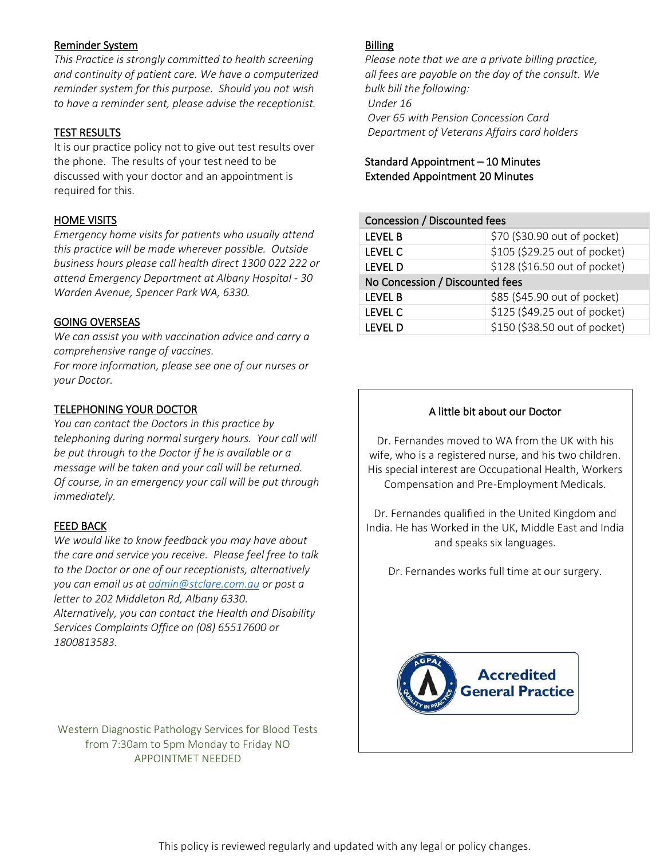### Reminder System

*This Practice is strongly committed to health screening and continuity of patient care. We have a computerized reminder system for this purpose. Should you not wish to have a reminder sent, please advise the receptionist.*

### TEST RESULTS

It is our practice policy not to give out test results over the phone. The results of your test need to be discussed with your doctor and an appointment is required for this.

## HOME VISITS

*Emergency home visits for patients who usually attend this practice will be made wherever possible. Outside business hours please call health direct 1300 022 222 or attend Emergency Department at Albany Hospital - 30 Warden Avenue, Spencer Park WA, 6330.* 

### GOING OVERSEAS

*We can assist you with vaccination advice and carry a comprehensive range of vaccines.*

*For more information, please see one of our nurses or your Doctor.*

### TELEPHONING YOUR DOCTOR

*You can contact the Doctors in this practice by telephoning during normal surgery hours. Your call will be put through to the Doctor if he is available or a message will be taken and your call will be returned. Of course, in an emergency your call will be put through immediately.*

## FEED BACK

*We would like to know feedback you may have about the care and service you receive. Please feel free to talk to the Doctor or one of our receptionists, alternatively you can email us at [admin@stclare.com.au](mailto:admin@stclare.com.au) or post a letter to 202 Middleton Rd, Albany 6330. Alternatively, you can contact the Health and Disability Services Complaints Office on (08) 65517600 or 1800813583.*

Western Diagnostic Pathology Services for Blood Tests from 7:30am to 5pm Monday to Friday NO APPOINTMET NEEDED

### **Billing**

*Please note that we are a private billing practice, all fees are payable on the day of the consult. We bulk bill the following: Under 16 Over 65 with Pension Concession Card Department of Veterans Affairs card holders* 

## Standard Appointment – 10 Minutes Extended Appointment 20 Minutes

| Concession / Discounted fees    |                               |
|---------------------------------|-------------------------------|
| <b>LEVEL B</b>                  | \$70 (\$30.90 out of pocket)  |
| <b>LEVEL C</b>                  | \$105 (\$29.25 out of pocket) |
| <b>LEVEL D</b>                  | \$128 (\$16.50 out of pocket) |
| No Concession / Discounted fees |                               |
| <b>LEVEL B</b>                  | \$85 (\$45.90 out of pocket)  |
| <b>LEVEL C</b>                  | \$125 (\$49.25 out of pocket) |
| <b>LEVEL D</b>                  | \$150 (\$38.50 out of pocket) |

### A little bit about our Doctor

Dr. Fernandes moved to WA from the UK with his wife, who is a registered nurse, and his two children. His special interest are Occupational Health, Workers Compensation and Pre-Employment Medicals.

Dr. Fernandes qualified in the United Kingdom and India. He has Worked in the UK, Middle East and India and speaks six languages.

Dr. Fernandes works full time at our surgery.

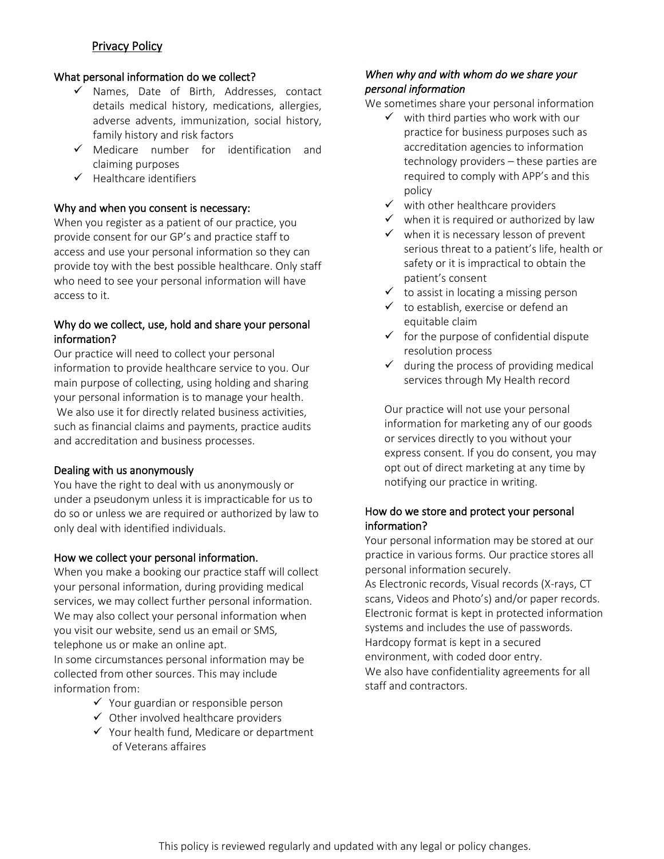## Privacy Policy

### What personal information do we collect?

- ✓ Names, Date of Birth, Addresses, contact details medical history, medications, allergies, adverse advents, immunization, social history, family history and risk factors
- ✓ Medicare number for identification and claiming purposes
- ✓ Healthcare identifiers

### Why and when you consent is necessary:

When you register as a patient of our practice, you provide consent for our GP's and practice staff to access and use your personal information so they can provide toy with the best possible healthcare. Only staff who need to see your personal information will have access to it.

## Why do we collect, use, hold and share your personal information?

Our practice will need to collect your personal information to provide healthcare service to you. Our main purpose of collecting, using holding and sharing your personal information is to manage your health. We also use it for directly related business activities, such as financial claims and payments, practice audits and accreditation and business processes.

### Dealing with us anonymously

You have the right to deal with us anonymously or under a pseudonym unless it is impracticable for us to do so or unless we are required or authorized by law to only deal with identified individuals.

### How we collect your personal information.

When you make a booking our practice staff will collect your personal information, during providing medical services, we may collect further personal information. We may also collect your personal information when you visit our website, send us an email or SMS, telephone us or make an online apt.

In some circumstances personal information may be collected from other sources. This may include information from:

- ✓ Your guardian or responsible person
- $\checkmark$  Other involved healthcare providers
- ✓ Your health fund, Medicare or department of Veterans affaires

## *When why and with whom do we share your personal information*

We sometimes share your personal information

- $\checkmark$  with third parties who work with our practice for business purposes such as accreditation agencies to information technology providers – these parties are required to comply with APP's and this policy
- $\checkmark$  with other healthcare providers
- $\checkmark$  when it is required or authorized by law
- $\checkmark$  when it is necessary lesson of prevent serious threat to a patient's life, health or safety or it is impractical to obtain the patient's consent
- $\checkmark$  to assist in locating a missing person
- $\checkmark$  to establish, exercise or defend an equitable claim
- $\checkmark$  for the purpose of confidential dispute resolution process
- $\checkmark$  during the process of providing medical services through My Health record

Our practice will not use your personal information for marketing any of our goods or services directly to you without your express consent. If you do consent, you may opt out of direct marketing at any time by notifying our practice in writing.

## How do we store and protect your personal information?

Your personal information may be stored at our practice in various forms. Our practice stores all personal information securely. As Electronic records, Visual records (X-rays, CT scans, Videos and Photo's) and/or paper records. Electronic format is kept in protected information systems and includes the use of passwords. Hardcopy format is kept in a secured environment, with coded door entry. We also have confidentiality agreements for all staff and contractors.